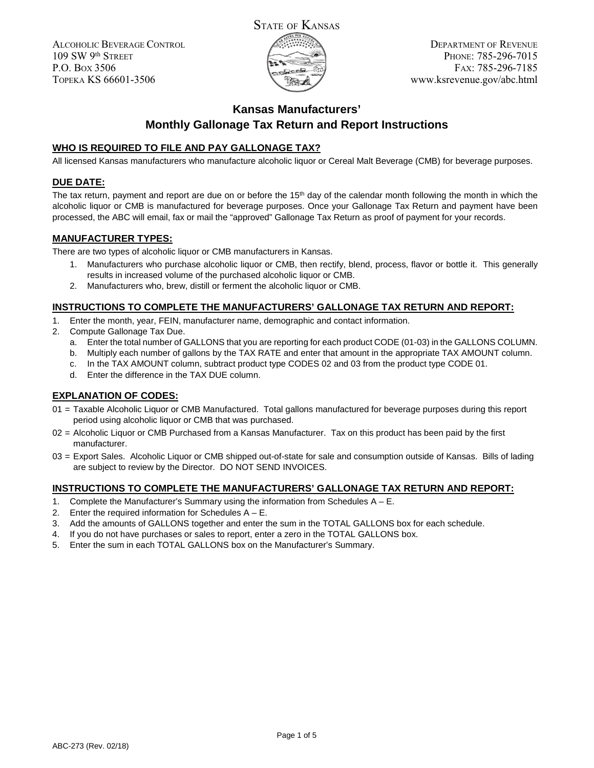

DEPARTMENT OF REVENUE PHONE: 785-296-7015 FAX: 785-296-7185 www.ksrevenue.gov/abc.html

# **Kansas Manufacturers' Monthly Gallonage Tax Return and Report Instructions**

### **WHO IS REQUIRED TO FILE AND PAY GALLONAGE TAX?**

All licensed Kansas manufacturers who manufacture alcoholic liquor or Cereal Malt Beverage (CMB) for beverage purposes.

### **DUE DATE:**

The tax return, payment and report are due on or before the  $15<sup>th</sup>$  day of the calendar month following the month in which the alcoholic liquor or CMB is manufactured for beverage purposes. Once your Gallonage Tax Return and payment have been processed, the ABC will email, fax or mail the "approved" Gallonage Tax Return as proof of payment for your records.

### **MANUFACTURER TYPES:**

There are two types of alcoholic liquor or CMB manufacturers in Kansas.

- 1. Manufacturers who purchase alcoholic liquor or CMB, then rectify, blend, process, flavor or bottle it. This generally results in increased volume of the purchased alcoholic liquor or CMB.
- 2. Manufacturers who, brew, distill or ferment the alcoholic liquor or CMB.

### **INSTRUCTIONS TO COMPLETE THE MANUFACTURERS' GALLONAGE TAX RETURN AND REPORT:**

- 1. Enter the month, year, FEIN, manufacturer name, demographic and contact information.
- 2. Compute Gallonage Tax Due.
	- a. Enter the total number of GALLONS that you are reporting for each product CODE (01-03) in the GALLONS COLUMN.
	- b. Multiply each number of gallons by the TAX RATE and enter that amount in the appropriate TAX AMOUNT column.
	- c. In the TAX AMOUNT column, subtract product type CODES 02 and 03 from the product type CODE 01.
	- d. Enter the difference in the TAX DUE column.

### **EXPLANATION OF CODES:**

- 01 = Taxable Alcoholic Liquor or CMB Manufactured. Total gallons manufactured for beverage purposes during this report period using alcoholic liquor or CMB that was purchased.
- 02 = Alcoholic Liquor or CMB Purchased from a Kansas Manufacturer. Tax on this product has been paid by the first manufacturer.
- 03 = Export Sales. Alcoholic Liquor or CMB shipped out-of-state for sale and consumption outside of Kansas. Bills of lading are subject to review by the Director. DO NOT SEND INVOICES.

#### **INSTRUCTIONS TO COMPLETE THE MANUFACTURERS' GALLONAGE TAX RETURN AND REPORT:**

- 1. Complete the Manufacturer's Summary using the information from Schedules A E.
- 2. Enter the required information for Schedules  $A E$ .
- 3. Add the amounts of GALLONS together and enter the sum in the TOTAL GALLONS box for each schedule.
- 4. If you do not have purchases or sales to report, enter a zero in the TOTAL GALLONS box.
- 5. Enter the sum in each TOTAL GALLONS box on the Manufacturer's Summary.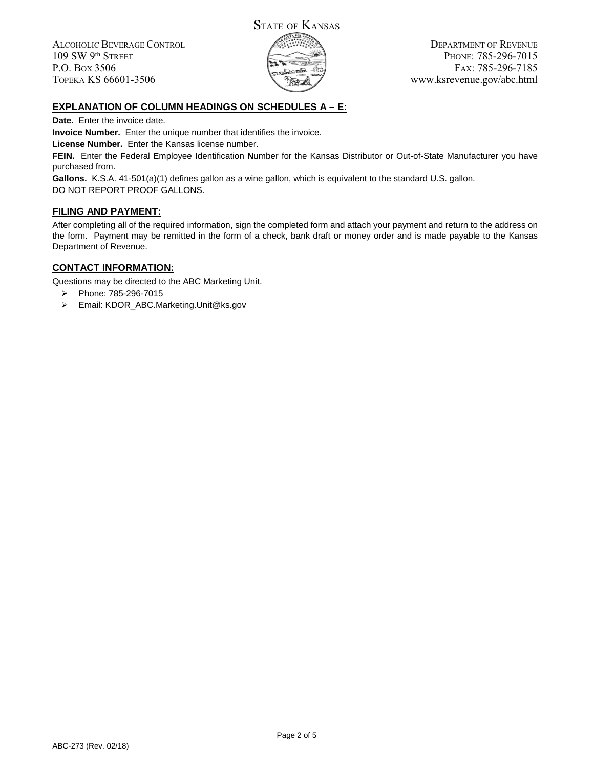

DEPARTMENT OF REVENUE PHONE: 785-296-7015 FAX: 785-296-7185 www.ksrevenue.gov/abc.html

## **EXPLANATION OF COLUMN HEADINGS ON SCHEDULES A – E:**

**Date.** Enter the invoice date.

**Invoice Number.** Enter the unique number that identifies the invoice.

**License Number.** Enter the Kansas license number.

**FEIN.** Enter the **F**ederal **E**mployee **I**dentification **N**umber for the Kansas Distributor or Out-of-State Manufacturer you have purchased from.

**Gallons.** K.S.A. 41-501(a)(1) defines gallon as a wine gallon, which is equivalent to the standard U.S. gallon. DO NOT REPORT PROOF GALLONS.

#### **FILING AND PAYMENT:**

After completing all of the required information, sign the completed form and attach your payment and return to the address on the form. Payment may be remitted in the form of a check, bank draft or money order and is made payable to the Kansas Department of Revenue.

#### **CONTACT INFORMATION:**

Questions may be directed to the ABC Marketing Unit.

- Phone: 785-296-7015
- Email: KDOR\_ABC.Marketing.Unit@ks.gov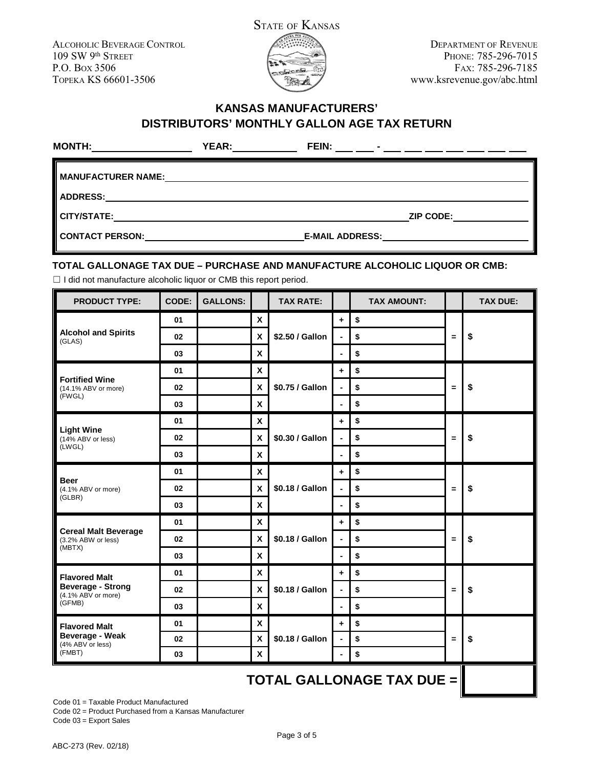

DEPARTMENT OF REVENUE PHONE: 785-296-7015 FAX: 785-296-7185 www.ksrevenue.gov/abc.html

## **KANSAS MANUFACTURERS' DISTRIBUTORS' MONTHLY GALLON AGE TAX RETURN**

| <b>MONTH:</b>      | YEAR: | FEIN:                  |                  |
|--------------------|-------|------------------------|------------------|
| MANUFACTURER NAME: |       |                        |                  |
| ADDRESS:           |       |                        |                  |
| CITY/STATE:        |       |                        | <b>ZIP CODE:</b> |
| CONTACT PERSON:    |       | <b>E-MAIL ADDRESS:</b> |                  |

### **TOTAL GALLONAGE TAX DUE – PURCHASE AND MANUFACTURE ALCOHOLIC LIQUOR OR CMB:**

□ I did not manufacture alcoholic liquor or CMB this report period.

| <b>PRODUCT TYPE:</b>                                                         | CODE: | <b>GALLONS:</b> |              | <b>TAX RATE:</b> |                | <b>TAX AMOUNT:</b>               |          | <b>TAX DUE:</b> |
|------------------------------------------------------------------------------|-------|-----------------|--------------|------------------|----------------|----------------------------------|----------|-----------------|
|                                                                              | 01    |                 | X            |                  | ÷              | \$                               | $=$      |                 |
| <b>Alcohol and Spirits</b><br>(GLAS)                                         | 02    |                 | X            | \$2.50 / Gallon  | ä,             | \$                               |          | \$              |
|                                                                              | 03    |                 | X            |                  | ä,             | \$                               |          |                 |
| <b>Fortified Wine</b>                                                        | 01    |                 | X            |                  | ÷              | \$                               | $\equiv$ | \$              |
| (14.1% ABV or more)<br>(FWGL)                                                | 02    |                 | X            | \$0.75 / Gallon  | $\blacksquare$ | \$                               |          |                 |
|                                                                              | 03    |                 | X            |                  | $\blacksquare$ | \$                               |          |                 |
|                                                                              | 01    |                 | X            |                  | $\ddot{}$      | \$                               |          | \$              |
| <b>Light Wine</b><br>(14% ABV or less)<br>(LWGL)                             | 02    |                 | X            | \$0.30 / Gallon  | $\blacksquare$ | \$                               | $=$      |                 |
|                                                                              | 03    |                 | X            |                  | $\blacksquare$ | \$                               |          |                 |
|                                                                              | 01    |                 | X            |                  | ٠              | \$                               | $\equiv$ | \$              |
| <b>Beer</b><br>(4.1% ABV or more)                                            | 02    |                 | X            | \$0.18 / Gallon  | $\blacksquare$ | \$                               |          |                 |
| (GLBR)                                                                       | 03    |                 | $\mathbf{x}$ |                  | $\blacksquare$ | \$                               |          |                 |
|                                                                              | 01    |                 | X            | \$0.18 / Gallon  | ÷              | \$                               | Ξ        | \$              |
| <b>Cereal Malt Beverage</b><br>(3.2% ABW or less)                            | 02    |                 | X            |                  | $\blacksquare$ | \$                               |          |                 |
| (MBTX)                                                                       | 03    |                 | $\mathbf{x}$ |                  | ä,             | \$                               |          |                 |
| <b>Flavored Malt</b>                                                         | 01    |                 | X            |                  | ٠              | \$                               | $=$      | \$              |
| <b>Beverage - Strong</b><br>$(4.1\%$ ABV or more)                            | 02    |                 | X            | \$0.18 / Gallon  | $\blacksquare$ | \$                               |          |                 |
| (GFMB)                                                                       | 03    |                 | X            |                  | $\blacksquare$ | \$                               |          |                 |
| <b>Flavored Malt</b><br><b>Beverage - Weak</b><br>(4% ABV or less)<br>(FMBT) | 01    |                 | X            | \$0.18 / Gallon  | ÷              | \$                               | $\equiv$ | \$              |
|                                                                              | 02    |                 | $\pmb{\chi}$ |                  | $\blacksquare$ | \$                               |          |                 |
|                                                                              | 03    |                 | X            |                  | $\blacksquare$ | \$                               |          |                 |
|                                                                              |       |                 |              |                  |                | <b>TOTAL GALLONAGE TAX DUE =</b> |          |                 |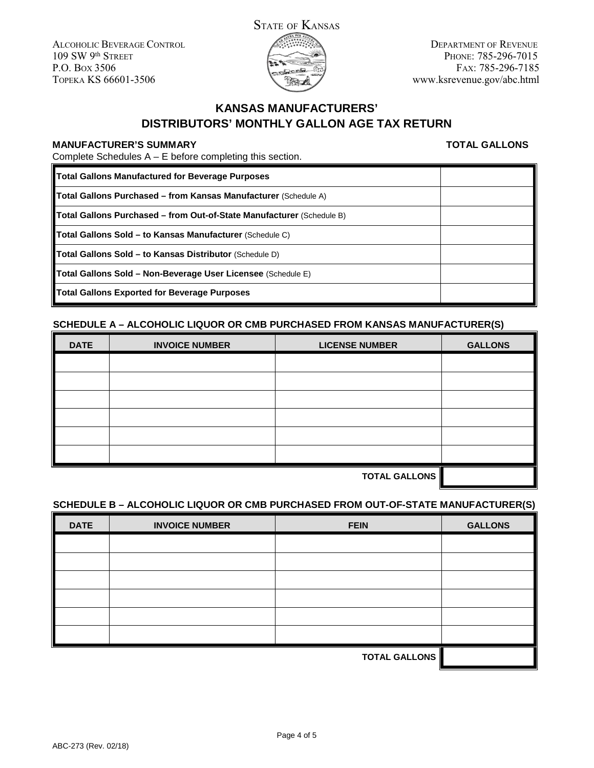

DEPARTMENT OF REVENUE PHONE: 785-296-7015 FAX: 785-296-7185 www.ksrevenue.gov/abc.html

# **KANSAS MANUFACTURERS' DISTRIBUTORS' MONTHLY GALLON AGE TAX RETURN**

### **MANUFACTURER'S SUMMARY**

**TOTAL GALLONS**

Complete Schedules A – E before completing this section.

| <b>Total Gallons Manufactured for Beverage Purposes</b>                      |  |
|------------------------------------------------------------------------------|--|
| <b>Total Gallons Purchased – from Kansas Manufacturer</b> (Schedule A)       |  |
| <b>Total Gallons Purchased – from Out-of-State Manufacturer</b> (Schedule B) |  |
| <b>Total Gallons Sold – to Kansas Manufacturer</b> (Schedule C)              |  |
| Total Gallons Sold - to Kansas Distributor (Schedule D)                      |  |
| Total Gallons Sold - Non-Beverage User Licensee (Schedule E)                 |  |
| <b>Total Gallons Exported for Beverage Purposes</b>                          |  |

### **SCHEDULE A – ALCOHOLIC LIQUOR OR CMB PURCHASED FROM KANSAS MANUFACTURER(S)**

| <b>DATE</b> | <b>INVOICE NUMBER</b> | <b>LICENSE NUMBER</b> | <b>GALLONS</b> |
|-------------|-----------------------|-----------------------|----------------|
|             |                       |                       |                |
|             |                       |                       |                |
|             |                       |                       |                |
|             |                       |                       |                |
|             |                       |                       |                |
|             |                       |                       |                |
|             |                       |                       |                |

**TOTAL GALLONS**

### **SCHEDULE B – ALCOHOLIC LIQUOR OR CMB PURCHASED FROM OUT-OF-STATE MANUFACTURER(S)**

| <b>DATE</b>          | <b>INVOICE NUMBER</b> | <b>FEIN</b> | <b>GALLONS</b> |
|----------------------|-----------------------|-------------|----------------|
|                      |                       |             |                |
|                      |                       |             |                |
|                      |                       |             |                |
|                      |                       |             |                |
|                      |                       |             |                |
|                      |                       |             |                |
| <b>TOTAL GALLONS</b> |                       |             |                |